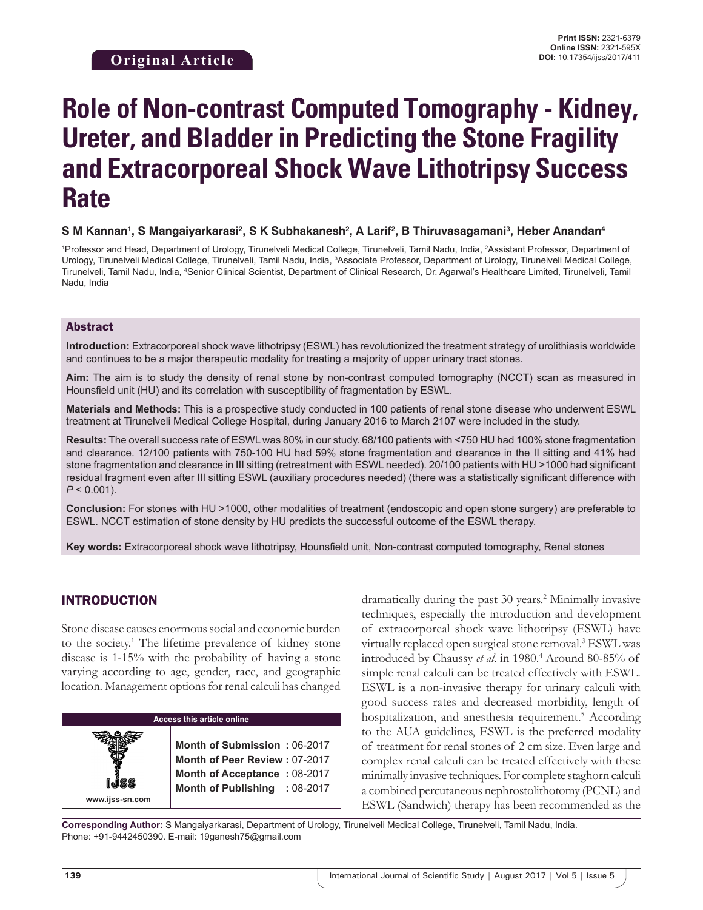# **Role of Non-contrast Computed Tomography - Kidney, Ureter, and Bladder in Predicting the Stone Fragility and Extracorporeal Shock Wave Lithotripsy Success Rate**

#### $\boldsymbol{\mathsf{S}}$  M Kannan', S Mangaiyarkarasi<sup>2</sup>, S K Subhakanesh<sup>2</sup>, A Larif<sup>2</sup>, B Thiruvasagamani<sup>3</sup>, Heber Anandan<sup>4</sup>

<sup>1</sup>Professor and Head, Department of Urology, Tirunelveli Medical College, Tirunelveli, Tamil Nadu, India, <sup>2</sup>Assistant Professor, Department of Urology, Tirunelveli Medical College, Tirunelveli, Tamil Nadu, India, 3 Associate Professor, Department of Urology, Tirunelveli Medical College, Tirunelveli, Tamil Nadu, India, 4 Senior Clinical Scientist, Department of Clinical Research, Dr. Agarwal's Healthcare Limited, Tirunelveli, Tamil Nadu, India

#### Abstract

**Introduction:** Extracorporeal shock wave lithotripsy (ESWL) has revolutionized the treatment strategy of urolithiasis worldwide and continues to be a major therapeutic modality for treating a majority of upper urinary tract stones.

**Aim:** The aim is to study the density of renal stone by non-contrast computed tomography (NCCT) scan as measured in Hounsfield unit (HU) and its correlation with susceptibility of fragmentation by ESWL.

**Materials and Methods:** This is a prospective study conducted in 100 patients of renal stone disease who underwent ESWL treatment at Tirunelveli Medical College Hospital, during January 2016 to March 2107 were included in the study.

**Results:** The overall success rate of ESWL was 80% in our study. 68/100 patients with <750 HU had 100% stone fragmentation and clearance. 12/100 patients with 750-100 HU had 59% stone fragmentation and clearance in the II sitting and 41% had stone fragmentation and clearance in III sitting (retreatment with ESWL needed). 20/100 patients with HU >1000 had significant residual fragment even after III sitting ESWL (auxiliary procedures needed) (there was a statistically significant difference with  $P < 0.001$ ).

**Conclusion:** For stones with HU >1000, other modalities of treatment (endoscopic and open stone surgery) are preferable to ESWL. NCCT estimation of stone density by HU predicts the successful outcome of the ESWL therapy.

**Key words:** Extracorporeal shock wave lithotripsy, Hounsfield unit, Non-contrast computed tomography, Renal stones

# INTRODUCTION

Stone disease causes enormous social and economic burden to the society.<sup>1</sup> The lifetime prevalence of kidney stone disease is 1-15% with the probability of having a stone varying according to age, gender, race, and geographic location. Management options for renal calculi has changed



dramatically during the past 30 years.<sup>2</sup> Minimally invasive techniques, especially the introduction and development of extracorporeal shock wave lithotripsy (ESWL) have virtually replaced open surgical stone removal.3 ESWL was introduced by Chaussy *et al*. in 1980.4 Around 80-85% of simple renal calculi can be treated effectively with ESWL. ESWL is a non-invasive therapy for urinary calculi with good success rates and decreased morbidity, length of hospitalization, and anesthesia requirement.<sup>5</sup> According to the AUA guidelines, ESWL is the preferred modality of treatment for renal stones of 2 cm size. Even large and complex renal calculi can be treated effectively with these minimally invasive techniques. For complete staghorn calculi a combined percutaneous nephrostolithotomy (PCNL) and ESWL (Sandwich) therapy has been recommended as the

**Corresponding Author:** S Mangaiyarkarasi, Department of Urology, Tirunelveli Medical College, Tirunelveli, Tamil Nadu, India. Phone: +91-9442450390. E-mail: 19ganesh75@gmail.com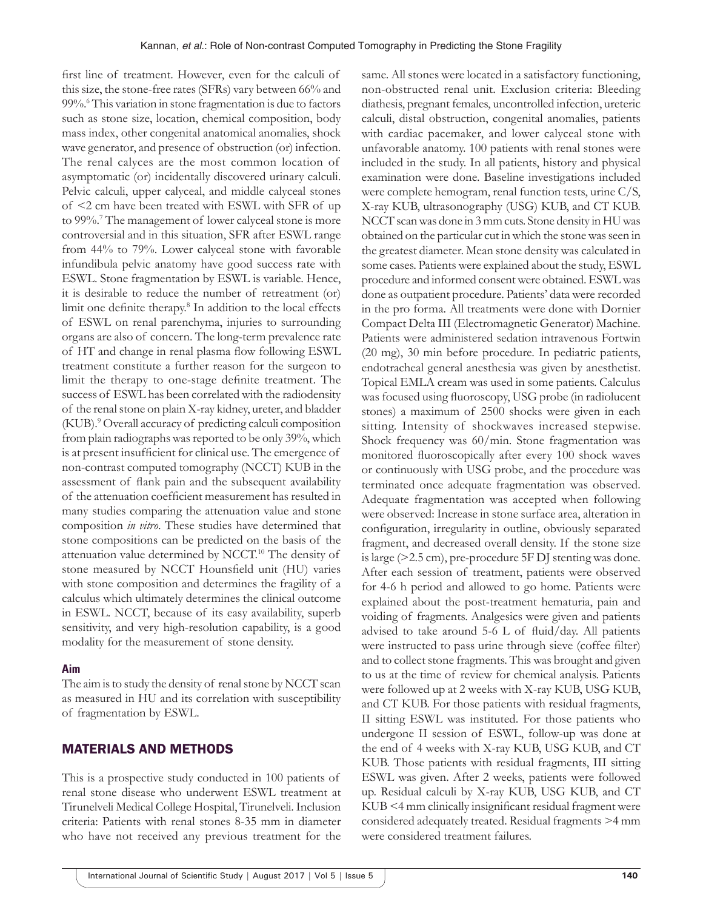first line of treatment. However, even for the calculi of this size, the stone-free rates (SFRs) vary between 66% and 99%.6 This variation in stone fragmentation is due to factors such as stone size, location, chemical composition, body mass index, other congenital anatomical anomalies, shock wave generator, and presence of obstruction (or) infection. The renal calyces are the most common location of asymptomatic (or) incidentally discovered urinary calculi. Pelvic calculi, upper calyceal, and middle calyceal stones of <2 cm have been treated with ESWL with SFR of up to 99%.7 The management of lower calyceal stone is more controversial and in this situation, SFR after ESWL range from 44% to 79%. Lower calyceal stone with favorable infundibula pelvic anatomy have good success rate with ESWL. Stone fragmentation by ESWL is variable. Hence, it is desirable to reduce the number of retreatment (or) limit one definite therapy.<sup>8</sup> In addition to the local effects of ESWL on renal parenchyma, injuries to surrounding organs are also of concern. The long-term prevalence rate of HT and change in renal plasma flow following ESWL treatment constitute a further reason for the surgeon to limit the therapy to one-stage definite treatment. The success of ESWL has been correlated with the radiodensity of the renal stone on plain X-ray kidney, ureter, and bladder (KUB).9 Overall accuracy of predicting calculi composition from plain radiographs was reported to be only 39%, which is at present insufficient for clinical use. The emergence of non-contrast computed tomography (NCCT) KUB in the assessment of flank pain and the subsequent availability of the attenuation coefficient measurement has resulted in many studies comparing the attenuation value and stone composition *in vitro*. These studies have determined that stone compositions can be predicted on the basis of the attenuation value determined by NCCT.10 The density of stone measured by NCCT Hounsfield unit (HU) varies with stone composition and determines the fragility of a calculus which ultimately determines the clinical outcome in ESWL. NCCT, because of its easy availability, superb sensitivity, and very high-resolution capability, is a good modality for the measurement of stone density.

#### **Aim**

The aim is to study the density of renal stone by NCCT scan as measured in HU and its correlation with susceptibility of fragmentation by ESWL.

#### MATERIALS AND METHODS

This is a prospective study conducted in 100 patients of renal stone disease who underwent ESWL treatment at Tirunelveli Medical College Hospital, Tirunelveli. Inclusion criteria: Patients with renal stones 8-35 mm in diameter who have not received any previous treatment for the same. All stones were located in a satisfactory functioning, non-obstructed renal unit. Exclusion criteria: Bleeding diathesis, pregnant females, uncontrolled infection, ureteric calculi, distal obstruction, congenital anomalies, patients with cardiac pacemaker, and lower calyceal stone with unfavorable anatomy. 100 patients with renal stones were included in the study. In all patients, history and physical examination were done. Baseline investigations included were complete hemogram, renal function tests, urine C/S, X-ray KUB, ultrasonography (USG) KUB, and CT KUB. NCCT scan was done in 3mm cuts. Stone density in HU was obtained on the particular cut in which the stone was seen in the greatest diameter. Mean stone density was calculated in some cases. Patients were explained about the study, ESWL procedure and informed consent were obtained. ESWL was done as outpatient procedure. Patients' data were recorded in the pro forma. All treatments were done with Dornier Compact Delta III (Electromagnetic Generator) Machine. Patients were administered sedation intravenous Fortwin (20 mg), 30 min before procedure. In pediatric patients, endotracheal general anesthesia was given by anesthetist. Topical EMLA cream was used in some patients. Calculus was focused using fluoroscopy, USG probe (in radiolucent stones) a maximum of 2500 shocks were given in each sitting. Intensity of shockwaves increased stepwise. Shock frequency was 60/min. Stone fragmentation was monitored fluoroscopically after every 100 shock waves or continuously with USG probe, and the procedure was terminated once adequate fragmentation was observed. Adequate fragmentation was accepted when following were observed: Increase in stone surface area, alteration in configuration, irregularity in outline, obviously separated fragment, and decreased overall density. If the stone size is large (>2.5 cm), pre-procedure 5F DJ stenting was done. After each session of treatment, patients were observed for 4-6 h period and allowed to go home. Patients were explained about the post-treatment hematuria, pain and voiding of fragments. Analgesics were given and patients advised to take around 5-6 L of fluid/day. All patients were instructed to pass urine through sieve (coffee filter) and to collect stone fragments. This was brought and given to us at the time of review for chemical analysis. Patients were followed up at 2 weeks with X-ray KUB, USG KUB, and CT KUB. For those patients with residual fragments, II sitting ESWL was instituted. For those patients who undergone II session of ESWL, follow-up was done at the end of 4 weeks with X-ray KUB, USG KUB, and CT KUB. Those patients with residual fragments, III sitting ESWL was given. After 2 weeks, patients were followed up. Residual calculi by X-ray KUB, USG KUB, and CT KUB <4 mm clinically insignificant residual fragment were considered adequately treated. Residual fragments >4 mm were considered treatment failures.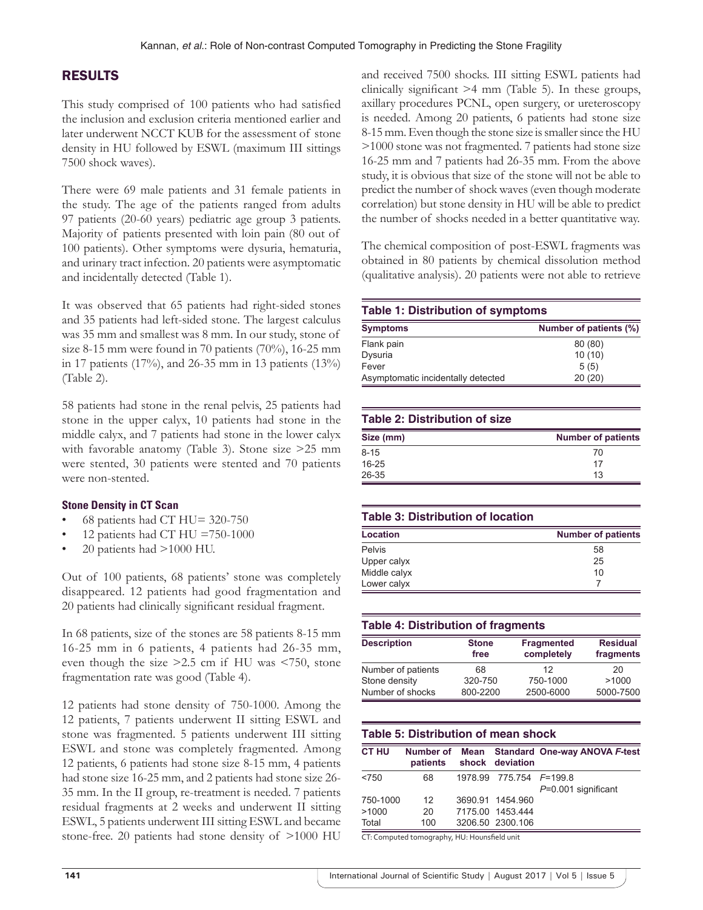# RESULTS

This study comprised of 100 patients who had satisfied the inclusion and exclusion criteria mentioned earlier and later underwent NCCT KUB for the assessment of stone density in HU followed by ESWL (maximum III sittings 7500 shock waves).

There were 69 male patients and 31 female patients in the study. The age of the patients ranged from adults 97 patients (20-60 years) pediatric age group 3 patients. Majority of patients presented with loin pain (80 out of 100 patients). Other symptoms were dysuria, hematuria, and urinary tract infection. 20 patients were asymptomatic and incidentally detected (Table 1).

It was observed that 65 patients had right-sided stones and 35 patients had left-sided stone. The largest calculus was 35 mm and smallest was 8 mm. In our study, stone of size 8-15 mm were found in 70 patients (70%), 16-25 mm in 17 patients (17%), and 26-35 mm in 13 patients (13%) (Table 2).

58 patients had stone in the renal pelvis, 25 patients had stone in the upper calyx, 10 patients had stone in the middle calyx, and 7 patients had stone in the lower calyx with favorable anatomy (Table 3). Stone size >25 mm were stented, 30 patients were stented and 70 patients were non-stented.

#### **Stone Density in CT Scan**

- 68 patients had CT HU= 320-750
- 12 patients had CT HU =750-1000
- $20$  patients had  $>1000$  HU.

Out of 100 patients, 68 patients' stone was completely disappeared. 12 patients had good fragmentation and 20 patients had clinically significant residual fragment.

In 68 patients, size of the stones are 58 patients 8-15 mm 16-25 mm in 6 patients, 4 patients had 26-35 mm, even though the size >2.5 cm if HU was <750, stone fragmentation rate was good (Table 4).

12 patients had stone density of 750-1000. Among the 12 patients, 7 patients underwent II sitting ESWL and stone was fragmented. 5 patients underwent III sitting ESWL and stone was completely fragmented. Among 12 patients, 6 patients had stone size 8-15 mm, 4 patients had stone size 16-25 mm, and 2 patients had stone size 26- 35 mm. In the II group, re-treatment is needed. 7 patients residual fragments at 2 weeks and underwent II sitting ESWL, 5 patients underwent III sitting ESWL and became stone-free. 20 patients had stone density of >1000 HU and received 7500 shocks. III sitting ESWL patients had clinically significant >4 mm (Table 5). In these groups, axillary procedures PCNL, open surgery, or ureteroscopy is needed. Among 20 patients, 6 patients had stone size 8-15mm. Even though the stone size is smaller since the HU >1000 stone was not fragmented. 7 patients had stone size 16-25 mm and 7 patients had 26-35 mm. From the above study, it is obvious that size of the stone will not be able to predict the number of shock waves (even though moderate correlation) but stone density in HU will be able to predict the number of shocks needed in a better quantitative way.

The chemical composition of post-ESWL fragments was obtained in 80 patients by chemical dissolution method (qualitative analysis). 20 patients were not able to retrieve

#### **Table 1: Distribution of symptoms**

| <b>Symptoms</b>                    | Number of patients (%) |
|------------------------------------|------------------------|
| Flank pain                         | 80 (80)                |
| Dysuria                            | 10(10)                 |
| Fever                              | 5(5)                   |
| Asymptomatic incidentally detected | 20(20)                 |

#### **Table 2: Distribution of size**

| Size (mm) | <b>Number of patients</b> |
|-----------|---------------------------|
| 8-15      | 70                        |
| 16-25     | 17                        |
| 26-35     | 13                        |

#### **Table 3: Distribution of location**

| <b>Location</b> | <b>Number of patients</b> |  |  |
|-----------------|---------------------------|--|--|
| Pelvis          | 58                        |  |  |
| Upper calyx     | 25                        |  |  |
| Middle calyx    | 10                        |  |  |
| Lower calyx     |                           |  |  |

### **Table 4: Distribution of fragments**

| <b>Description</b> | <b>Stone</b><br>free | <b>Fragmented</b><br>completely | <b>Residual</b><br>fragments |
|--------------------|----------------------|---------------------------------|------------------------------|
| Number of patients | 68                   | 12                              | 20                           |
| Stone density      | 320-750              | 750-1000                        | >1000                        |
| Number of shocks   | 800-2200             | 2500-6000                       | 5000-7500                    |

# **Table 5: Distribution of mean shock**

| <b>CT HU</b> | patients | shock deviation         | Number of Mean Standard One-way ANOVA F-test |
|--------------|----------|-------------------------|----------------------------------------------|
| < 750        | 68       | 1978.99 775.754 F=199.8 |                                              |
|              |          |                         | $P=0.001$ significant                        |
| 750-1000     | 12       | 3690.91 1454.960        |                                              |
| >1000        | 20       | 7175.00 1453.444        |                                              |
| Total        | 100      | 3206.50 2300.106        |                                              |
| -- -         |          |                         |                                              |

CT: Computed tomography, HU: Hounsfield unit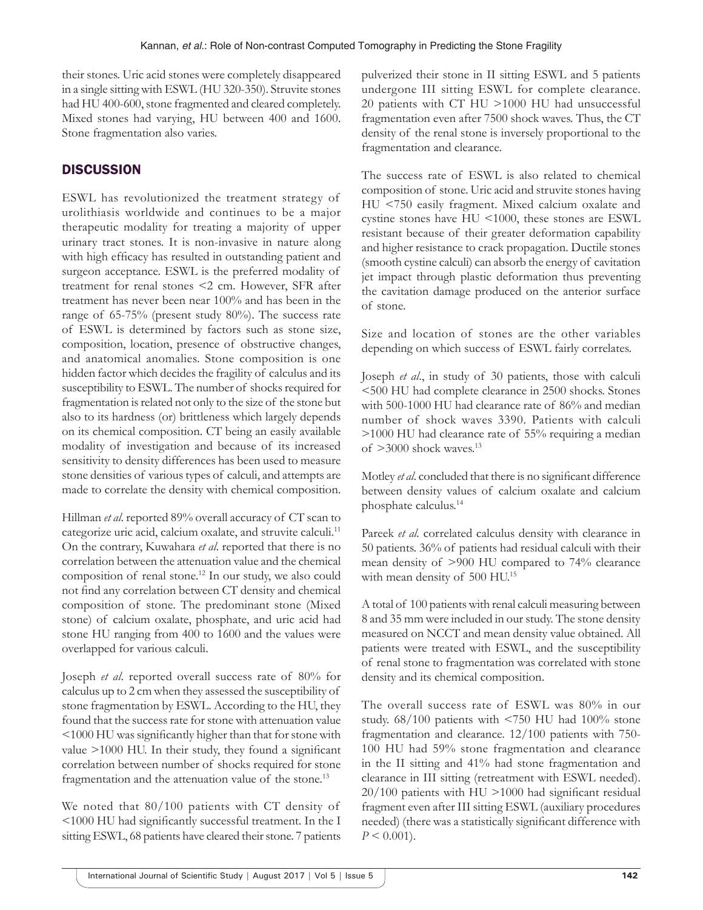their stones. Uric acid stones were completely disappeared in a single sitting with ESWL (HU 320-350). Struvite stones had HU 400-600, stone fragmented and cleared completely. Mixed stones had varying, HU between 400 and 1600. Stone fragmentation also varies.

# **DISCUSSION**

ESWL has revolutionized the treatment strategy of urolithiasis worldwide and continues to be a major therapeutic modality for treating a majority of upper urinary tract stones. It is non-invasive in nature along with high efficacy has resulted in outstanding patient and surgeon acceptance. ESWL is the preferred modality of treatment for renal stones <2 cm. However, SFR after treatment has never been near 100% and has been in the range of 65-75% (present study 80%). The success rate of ESWL is determined by factors such as stone size, composition, location, presence of obstructive changes, and anatomical anomalies. Stone composition is one hidden factor which decides the fragility of calculus and its susceptibility to ESWL. The number of shocks required for fragmentation is related not only to the size of the stone but also to its hardness (or) brittleness which largely depends on its chemical composition. CT being an easily available modality of investigation and because of its increased sensitivity to density differences has been used to measure stone densities of various types of calculi, and attempts are made to correlate the density with chemical composition.

Hillman *et al*. reported 89% overall accuracy of CT scan to categorize uric acid, calcium oxalate, and struvite calculi.11 On the contrary, Kuwahara *et al*. reported that there is no correlation between the attenuation value and the chemical composition of renal stone.12 In our study, we also could not find any correlation between CT density and chemical composition of stone. The predominant stone (Mixed stone) of calcium oxalate, phosphate, and uric acid had stone HU ranging from 400 to 1600 and the values were overlapped for various calculi.

Joseph *et al*. reported overall success rate of 80% for calculus up to 2 cm when they assessed the susceptibility of stone fragmentation by ESWL. According to the HU, they found that the success rate for stone with attenuation value <1000 HU was significantly higher than that for stone with value >1000 HU. In their study, they found a significant correlation between number of shocks required for stone fragmentation and the attenuation value of the stone.<sup>13</sup>

We noted that 80/100 patients with CT density of <1000 HU had significantly successful treatment. In the I sitting ESWL, 68 patients have cleared their stone. 7 patients pulverized their stone in II sitting ESWL and 5 patients undergone III sitting ESWL for complete clearance. 20 patients with CT HU >1000 HU had unsuccessful fragmentation even after 7500 shock waves. Thus, the CT density of the renal stone is inversely proportional to the fragmentation and clearance.

The success rate of ESWL is also related to chemical composition of stone. Uric acid and struvite stones having HU <750 easily fragment. Mixed calcium oxalate and cystine stones have HU <1000, these stones are ESWL resistant because of their greater deformation capability and higher resistance to crack propagation. Ductile stones (smooth cystine calculi) can absorb the energy of cavitation jet impact through plastic deformation thus preventing the cavitation damage produced on the anterior surface of stone.

Size and location of stones are the other variables depending on which success of ESWL fairly correlates.

Joseph *et al*., in study of 30 patients, those with calculi <500 HU had complete clearance in 2500 shocks. Stones with 500-1000 HU had clearance rate of 86% and median number of shock waves 3390. Patients with calculi >1000 HU had clearance rate of 55% requiring a median of  $>3000$  shock waves.<sup>13</sup>

Motley *et al*. concluded that there is no significant difference between density values of calcium oxalate and calcium phosphate calculus.14

Pareek *et al.* correlated calculus density with clearance in 50 patients. 36% of patients had residual calculi with their mean density of >900 HU compared to 74% clearance with mean density of 500 HU.<sup>15</sup>

A total of 100 patients with renal calculi measuring between 8 and 35 mm were included in our study. The stone density measured on NCCT and mean density value obtained. All patients were treated with ESWL, and the susceptibility of renal stone to fragmentation was correlated with stone density and its chemical composition.

The overall success rate of ESWL was 80% in our study. 68/100 patients with <750 HU had 100% stone fragmentation and clearance. 12/100 patients with 750- 100 HU had 59% stone fragmentation and clearance in the II sitting and 41% had stone fragmentation and clearance in III sitting (retreatment with ESWL needed). 20/100 patients with HU >1000 had significant residual fragment even after III sitting ESWL (auxiliary procedures needed) (there was a statistically significant difference with  $P \leq 0.001$ .